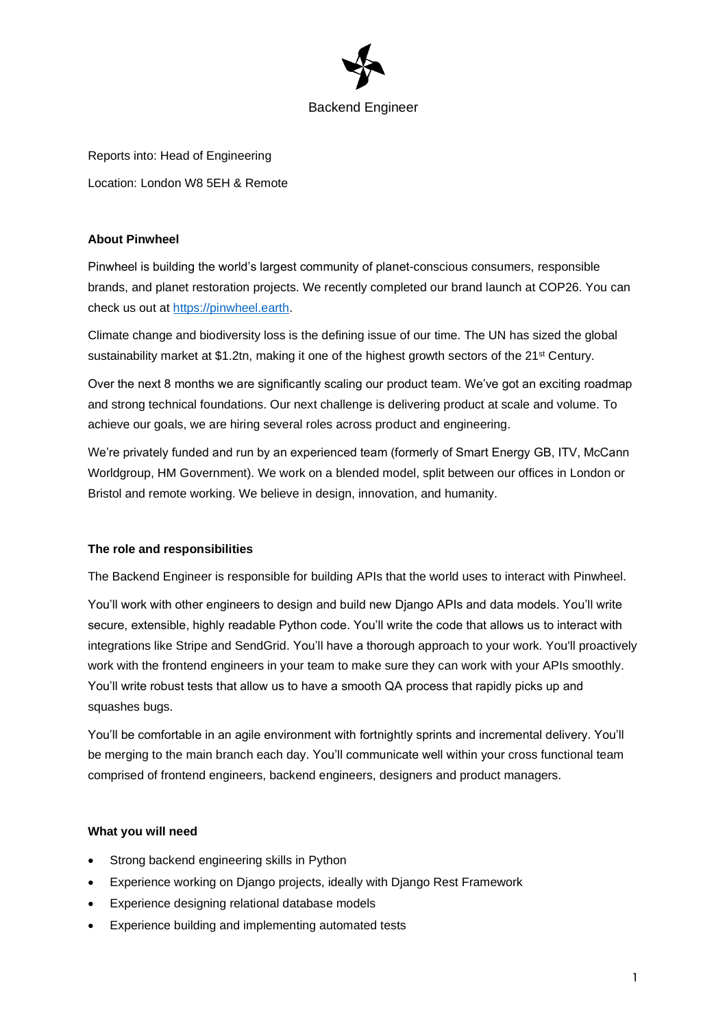

Reports into: Head of Engineering Location: London W8 5EH & Remote

# **About Pinwheel**

Pinwheel is building the world's largest community of planet-conscious consumers, responsible brands, and planet restoration projects. We recently completed our brand launch at COP26. You can check us out at [https://pinwheel.earth.](https://pinwheel.earth/)

Climate change and biodiversity loss is the defining issue of our time. The UN has sized the global sustainability market at \$1.2tn, making it one of the highest growth sectors of the 21<sup>st</sup> Century.

Over the next 8 months we are significantly scaling our product team. We've got an exciting roadmap and strong technical foundations. Our next challenge is delivering product at scale and volume. To achieve our goals, we are hiring several roles across product and engineering.

We're privately funded and run by an experienced team (formerly of Smart Energy GB, ITV, McCann Worldgroup, HM Government). We work on a blended model, split between our offices in London or Bristol and remote working. We believe in design, innovation, and humanity.

# **The role and responsibilities**

The Backend Engineer is responsible for building APIs that the world uses to interact with Pinwheel.

You'll work with other engineers to design and build new Django APIs and data models. You'll write secure, extensible, highly readable Python code. You'll write the code that allows us to interact with integrations like Stripe and SendGrid. You'll have a thorough approach to your work. You'll proactively work with the frontend engineers in your team to make sure they can work with your APIs smoothly. You'll write robust tests that allow us to have a smooth QA process that rapidly picks up and squashes bugs.

You'll be comfortable in an agile environment with fortnightly sprints and incremental delivery. You'll be merging to the main branch each day. You'll communicate well within your cross functional team comprised of frontend engineers, backend engineers, designers and product managers.

# **What you will need**

- Strong backend engineering skills in Python
- Experience working on Django projects, ideally with Django Rest Framework
- Experience designing relational database models
- Experience building and implementing automated tests